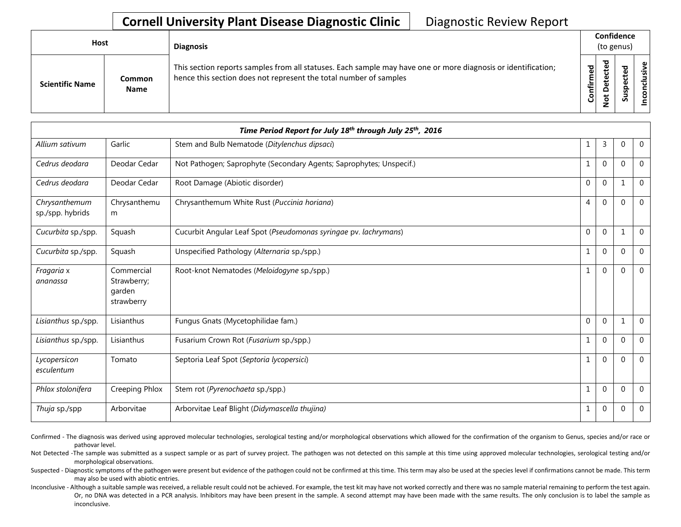## **Cornell University Plant Disease Diagnostic Clinic** | Diagnostic Review Report

| Host                   |                       | <b>Diagnosis</b>                                                                                                                                                                   |           | Confidence<br>(to genus)         |   |                 |  |  |
|------------------------|-----------------------|------------------------------------------------------------------------------------------------------------------------------------------------------------------------------------|-----------|----------------------------------|---|-----------------|--|--|
| <b>Scientific Name</b> | Common<br><b>Name</b> | This section reports samples from all statuses. Each sample may have one or more diagnosis or identification;<br>hence this section does not represent the total number of samples | Confirmed | ъ<br>ن<br>ω<br>سد<br>o<br>پ<br>- | n | ω<br>usiv<br>᠊ᠣ |  |  |

| Time Period Report for July 18 <sup>th</sup> through July 25 <sup>th</sup> , 2016 |                                                   |                                                                     |              |                |              |                |  |
|-----------------------------------------------------------------------------------|---------------------------------------------------|---------------------------------------------------------------------|--------------|----------------|--------------|----------------|--|
| Allium sativum                                                                    | Garlic                                            | Stem and Bulb Nematode (Ditylenchus dipsaci)                        | 1            | $\overline{3}$ | 0            | $\mathbf 0$    |  |
| Cedrus deodara                                                                    | Deodar Cedar                                      | Not Pathogen; Saprophyte (Secondary Agents; Saprophytes; Unspecif.) | $\mathbf{1}$ | $\mathbf{0}$   | $\Omega$     | $\overline{0}$ |  |
| Cedrus deodara                                                                    | Deodar Cedar                                      | Root Damage (Abiotic disorder)                                      | $\mathbf 0$  | $\mathbf{0}$   | $\mathbf{1}$ | $\mathbf{0}$   |  |
| Chrysanthemum<br>sp./spp. hybrids                                                 | Chrysanthemu<br>m                                 | Chrysanthemum White Rust (Puccinia horiana)                         | 4            | $\mathbf 0$    | $\Omega$     | $\mathbf 0$    |  |
| Cucurbita sp./spp.                                                                | Squash                                            | Cucurbit Angular Leaf Spot (Pseudomonas syringae pv. lachrymans)    | $\mathbf 0$  | $\mathbf 0$    | $\mathbf{1}$ | $\mathbf 0$    |  |
| Cucurbita sp./spp.                                                                | Squash                                            | Unspecified Pathology (Alternaria sp./spp.)                         | $\mathbf{1}$ | $\mathbf{0}$   | $\Omega$     | $\Omega$       |  |
| Fragaria x<br>ananassa                                                            | Commercial<br>Strawberry;<br>garden<br>strawberry | Root-knot Nematodes (Meloidogyne sp./spp.)                          | $\mathbf{1}$ | $\mathbf 0$    | $\mathbf{0}$ | $\mathbf 0$    |  |
| Lisianthus sp./spp.                                                               | Lisianthus                                        | Fungus Gnats (Mycetophilidae fam.)                                  | $\mathbf 0$  | $\mathbf 0$    | $\mathbf{1}$ | $\mathbf 0$    |  |
| Lisianthus sp./spp.                                                               | Lisianthus                                        | Fusarium Crown Rot (Fusarium sp./spp.)                              | $\mathbf{1}$ | $\mathbf{0}$   | $\Omega$     | $\Omega$       |  |
| Lycopersicon<br>esculentum                                                        | Tomato                                            | Septoria Leaf Spot (Septoria lycopersici)                           | $\mathbf 1$  | $\mathbf{0}$   | $\mathbf{0}$ | $\mathbf 0$    |  |
| Phlox stolonifera                                                                 | Creeping Phlox                                    | Stem rot (Pyrenochaeta sp./spp.)                                    | $1\,$        | $\mathbf 0$    | $\mathbf 0$  | $\Omega$       |  |
| Thuja sp./spp                                                                     | Arborvitae                                        | Arborvitae Leaf Blight (Didymascella thujina)                       | 1            | $\mathbf{0}$   | $\Omega$     | $\theta$       |  |

Confirmed - The diagnosis was derived using approved molecular technologies, serological testing and/or morphological observations which allowed for the confirmation of the organism to Genus, species and/or race or pathovar level.

Not Detected -The sample was submitted as a suspect sample or as part of survey project. The pathogen was not detected on this sample at this time using approved molecular technologies, serological testing and/or morphological observations.

Suspected - Diagnostic symptoms of the pathogen were present but evidence of the pathogen could not be confirmed at this time. This term may also be used at the species level if confirmations cannot be made. This term may also be used with abiotic entries.

Inconclusive - Although a suitable sample was received, a reliable result could not be achieved. For example, the test kit may have not worked correctly and there was no sample material remaining to perform the test again. Or, no DNA was detected in a PCR analysis. Inhibitors may have been present in the sample. A second attempt may have been made with the same results. The only conclusion is to label the sample as inconclusive.